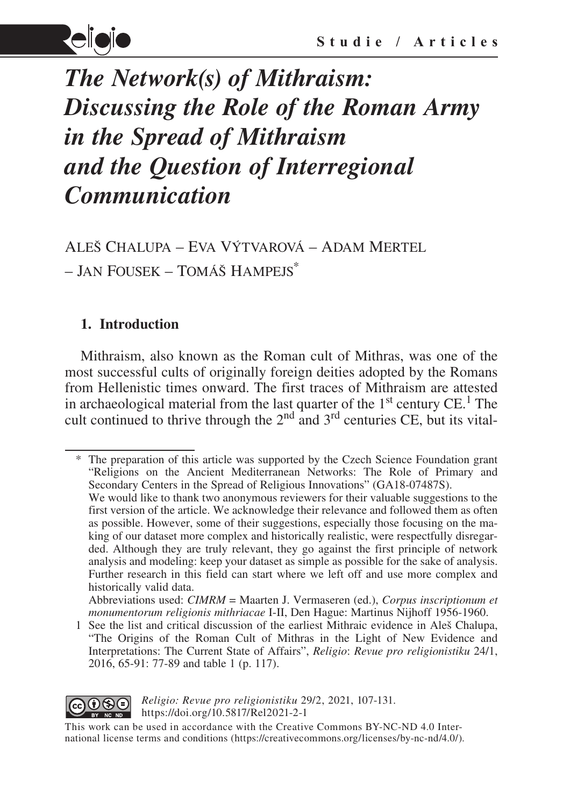

# *The Network(s) of Mithraism: Discussing the Role of the Roman Army in the Spread of Mithraism and the Question of Interregional Communication*

Aleš Chalupa – Eva Výtvarová – Adam Mertel – Jan Fousek – Tomáš Hampejs\*

# **1. Introduction**

Mithraism, also known as the Roman cult of Mithras, was one of the most successful cults of originally foreign deities adopted by the Romans from Hellenistic times onward. The first traces of Mithraism are attested in archaeological material from the last quarter of the  $1<sup>st</sup>$  century CE.<sup>1</sup> The cult continued to thrive through the  $2<sup>nd</sup>$  and  $3<sup>rd</sup>$  centuries CE, but its vital-

The preparation of this article was supported by the Czech Science Foundation grant "Religions on the Ancient Mediterranean Networks: The Role of Primary and Secondary Centers in the Spread of Religious Innovations" (GA18-07487S). We would like to thank two anonymous reviewers for their valuable suggestions to the

<sup>1</sup> See the list and critical discussion of the earliest Mithraic evidence in Aleš Chalupa, "The Origins of the Roman Cult of Mithras in the Light of New Evidence and Interpretations: The Current State of Affairs", *Religio*: *Revue pro religionistiku* 24/1, 2016, 65-91: 77-89 and table 1 (p. 117).



*Religio: Revue pro religionistiku* 29/2, 2021, 107-131. https://doi.org/10.5817/Rel2021-2-1

This work can be used in accordance with the Creative Commons BY-NC-ND 4.0 International license terms and conditions (https://creativecommons.org/licenses/by-nc-nd/4.0/).

first version of the article. We acknowledge their relevance and followed them as often as possible. However, some of their suggestions, especially those focusing on the making of our dataset more complex and historically realistic, were respectfully disregarded. Although they are truly relevant, they go against the first principle of network analysis and modeling: keep your dataset as simple as possible for the sake of analysis. Further research in this field can start where we left off and use more complex and historically valid data.

Abbreviations used: *CIMRM* = Maarten J. Vermaseren (ed.), *Corpus inscriptionum et monumentorum religionis mithriacae* I-II, Den Hague: Martinus Nijhoff 1956-1960.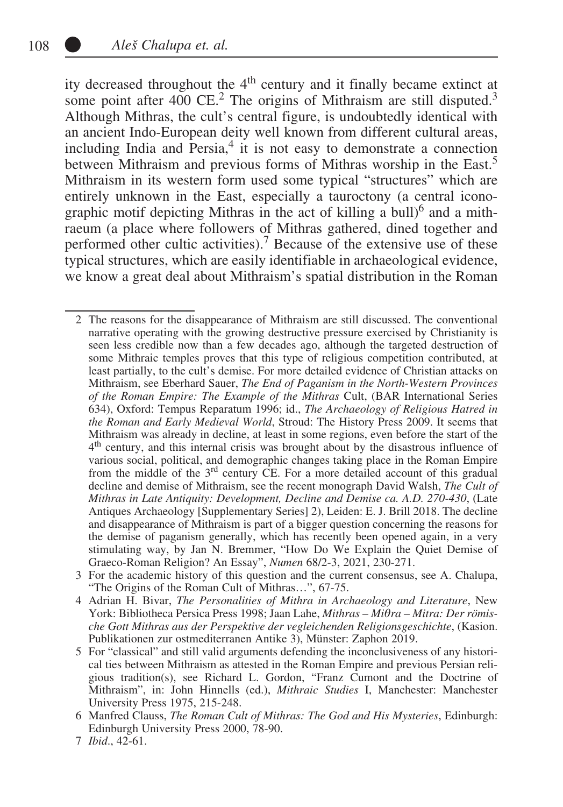ity decreased throughout the 4<sup>th</sup> century and it finally became extinct at some point after  $400 \text{ CE.}^2$  The origins of Mithraism are still disputed.<sup>3</sup> Although Mithras, the cult's central figure, is undoubtedly identical with an ancient Indo-European deity well known from different cultural areas, including India and Persia,<sup>4</sup> it is not easy to demonstrate a connection between Mithraism and previous forms of Mithras worship in the East.<sup>5</sup> Mithraism in its western form used some typical "structures" which are entirely unknown in the East, especially a tauroctony (a central iconographic motif depicting Mithras in the act of killing a bull) $<sup>6</sup>$  and a mith-</sup> raeum (a place where followers of Mithras gathered, dined together and performed other cultic activities).<sup>7</sup> Because of the extensive use of these typical structures, which are easily identifiable in archaeological evidence, we know a great deal about Mithraism's spatial distribution in the Roman

- 3 For the academic history of this question and the current consensus, see A. Chalupa, "The Origins of the Roman Cult of Mithras…", 67-75.
- 4 Adrian H. Bivar, *The Personalities of Mithra in Archaeology and Literature*, New York: Bibliotheca Persica Press 1998; Jaan Lahe, *Mithras – Miθra – Mitra: Der römische Gott Mithras aus der Perspektive der vegleichenden Religionsgeschichte*, (Kasion. Publikationen zur ostmediterranen Antike 3), Münster: Zaphon 2019.
- 5 For "classical" and still valid arguments defending the inconclusiveness of any historical ties between Mithraism as attested in the Roman Empire and previous Persian religious tradition(s), see Richard L. Gordon, "Franz Cumont and the Doctrine of Mithraism", in: John Hinnells (ed.), *Mithraic Studies* I, Manchester: Manchester University Press 1975, 215-248.

7 *Ibid*., 42-61.

<sup>2</sup> The reasons for the disappearance of Mithraism are still discussed. The conventional narrative operating with the growing destructive pressure exercised by Christianity is seen less credible now than a few decades ago, although the targeted destruction of some Mithraic temples proves that this type of religious competition contributed, at least partially, to the cult's demise. For more detailed evidence of Christian attacks on Mithraism, see Eberhard Sauer, *The End of Paganism in the North-Western Provinces of the Roman Empire: The Example of the Mithras* Cult, (BAR International Series 634), Oxford: Tempus Reparatum 1996; id., *The Archaeology of Religious Hatred in the Roman and Early Medieval World*, Stroud: The History Press 2009. It seems that Mithraism was already in decline, at least in some regions, even before the start of the 4th century, and this internal crisis was brought about by the disastrous influence of various social, political, and demographic changes taking place in the Roman Empire from the middle of the 3rd century CE. For a more detailed account of this gradual decline and demise of Mithraism, see the recent monograph David Walsh, *The Cult of Mithras in Late Antiquity: Development, Decline and Demise ca. A.D. 270-430*, (Late Antiques Archaeology [Supplementary Series] 2), Leiden: E. J. Brill 2018. The decline and disappearance of Mithraism is part of a bigger question concerning the reasons for the demise of paganism generally, which has recently been opened again, in a very stimulating way, by Jan N. Bremmer, "How Do We Explain the Quiet Demise of Graeco-Roman Religion? An Essay", *Numen* 68/2-3, 2021, 230-271.

<sup>6</sup> Manfred Clauss, *The Roman Cult of Mithras: The God and His Mysteries*, Edinburgh: Edinburgh University Press 2000, 78-90.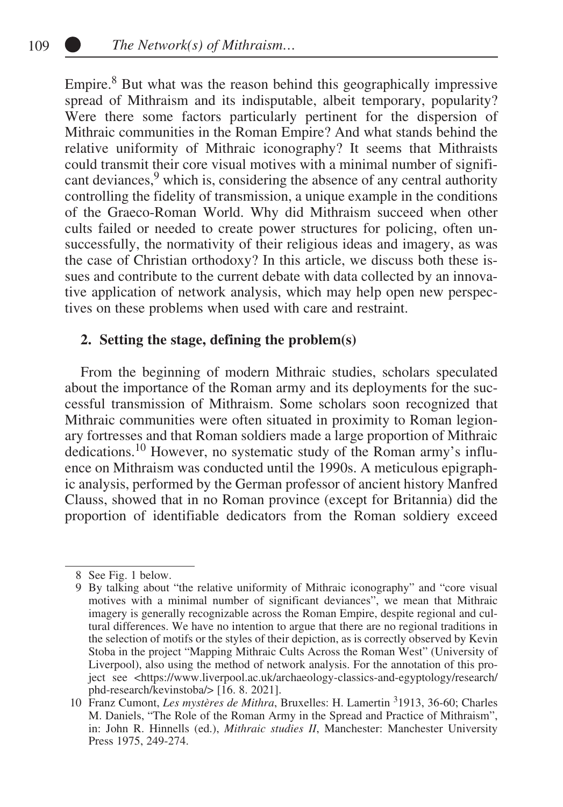Empire.<sup>8</sup> But what was the reason behind this geographically impressive spread of Mithraism and its indisputable, albeit temporary, popularity? Were there some factors particularly pertinent for the dispersion of Mithraic communities in the Roman Empire? And what stands behind the relative uniformity of Mithraic iconography? It seems that Mithraists could transmit their core visual motives with a minimal number of significant deviances,<sup>9</sup> which is, considering the absence of any central authority controlling the fidelity of transmission, a unique example in the conditions of the Graeco-Roman World. Why did Mithraism succeed when other cults failed or needed to create power structures for policing, often unsuccessfully, the normativity of their religious ideas and imagery, as was the case of Christian orthodoxy? In this article, we discuss both these issues and contribute to the current debate with data collected by an innovative application of network analysis, which may help open new perspectives on these problems when used with care and restraint.

## **2. Setting the stage, defining the problem(s)**

From the beginning of modern Mithraic studies, scholars speculated about the importance of the Roman army and its deployments for the successful transmission of Mithraism. Some scholars soon recognized that Mithraic communities were often situated in proximity to Roman legionary fortresses and that Roman soldiers made a large proportion of Mithraic dedications.10 However, no systematic study of the Roman army's influence on Mithraism was conducted until the 1990s. A meticulous epigraphic analysis, performed by the German professor of ancient history Manfred Clauss, showed that in no Roman province (except for Britannia) did the proportion of identifiable dedicators from the Roman soldiery exceed

<sup>8</sup> See Fig. 1 below.

<sup>9</sup> By talking about "the relative uniformity of Mithraic iconography" and "core visual motives with a minimal number of significant deviances", we mean that Mithraic imagery is generally recognizable across the Roman Empire, despite regional and cultural differences. We have no intention to argue that there are no regional traditions in the selection of motifs or the styles of their depiction, as is correctly observed by Kevin Stoba in the project "Mapping Mithraic Cults Across the Roman West" (University of Liverpool), also using the method of network analysis. For the annotation of this project see <https://www.liverpool.ac.uk/archaeology-classics-and-egyptology/research/ phd-research/kevinstoba/> [16. 8. 2021].

<sup>10</sup> Franz Cumont, *Les mystères de Mithra*, Bruxelles: H. Lamertin <sup>3</sup> 1913, 36-60; Charles M. Daniels, "The Role of the Roman Army in the Spread and Practice of Mithraism", in: John R. Hinnells (ed.), *Mithraic studies II*, Manchester: Manchester University Press 1975, 249-274.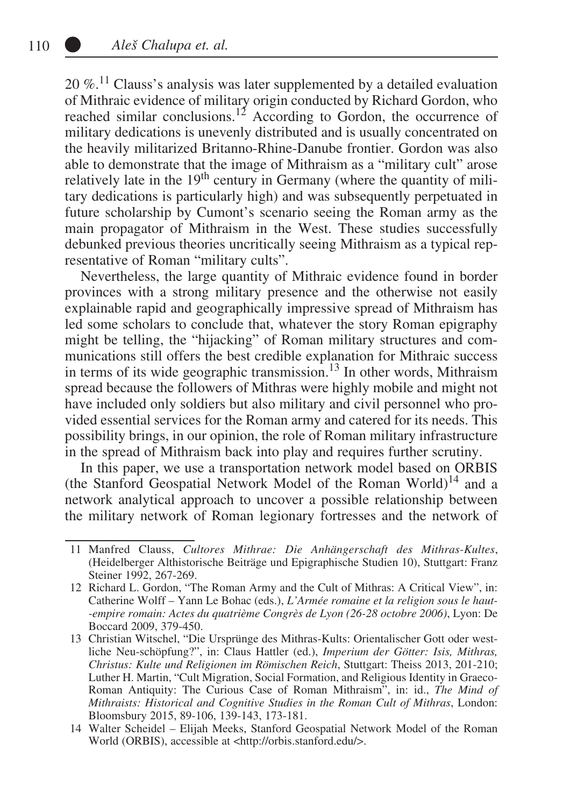$20\%$ .<sup>11</sup> Clauss's analysis was later supplemented by a detailed evaluation of Mithraic evidence of military origin conducted by Richard Gordon, who reached similar conclusions.<sup>12</sup> According to Gordon, the occurrence of military dedications is unevenly distributed and is usually concentrated on the heavily militarized Britanno-Rhine-Danube frontier. Gordon was also able to demonstrate that the image of Mithraism as a "military cult" arose relatively late in the  $19<sup>th</sup>$  century in Germany (where the quantity of military dedications is particularly high) and was subsequently perpetuated in future scholarship by Cumont's scenario seeing the Roman army as the main propagator of Mithraism in the West. These studies successfully debunked previous theories uncritically seeing Mithraism as a typical representative of Roman "military cults".

Nevertheless, the large quantity of Mithraic evidence found in border provinces with a strong military presence and the otherwise not easily explainable rapid and geographically impressive spread of Mithraism has led some scholars to conclude that, whatever the story Roman epigraphy might be telling, the "hijacking" of Roman military structures and communications still offers the best credible explanation for Mithraic success in terms of its wide geographic transmission.<sup>13</sup> In other words, Mithraism spread because the followers of Mithras were highly mobile and might not have included only soldiers but also military and civil personnel who provided essential services for the Roman army and catered for its needs. This possibility brings, in our opinion, the role of Roman military infrastructure in the spread of Mithraism back into play and requires further scrutiny.

In this paper, we use a transportation network model based on ORBIS (the Stanford Geospatial Network Model of the Roman World)<sup>14</sup> and a network analytical approach to uncover a possible relationship between the military network of Roman legionary fortresses and the network of

<sup>11</sup> Manfred Clauss, *Cultores Mithrae: Die Anhängerschaft des Mithras-Kultes*, (Heidelberger Althistorische Beiträge und Epigraphische Studien 10), Stuttgart: Franz Steiner 1992, 267-269.

<sup>12</sup> Richard L. Gordon, "The Roman Army and the Cult of Mithras: A Critical View", in: Catherine Wolff – Yann Le Bohac (eds.), *L'Armée romaine et la religion sous le haut- -empire romain: Actes du quatrième Congrès de Lyon (26-28 octobre 2006)*, Lyon: De Boccard 2009, 379-450.

<sup>13</sup> Christian Witschel, "Die Ursprünge des Mithras-Kults: Orientalischer Gott oder westliche Neu-schöpfung?", in: Claus Hattler (ed.), *Imperium der Götter: Isis, Mithras, Christus: Kulte und Religionen im Römischen Reich*, Stuttgart: Theiss 2013, 201-210; Luther H. Martin, "Cult Migration, Social Formation, and Religious Identity in Graeco-Roman Antiquity: The Curious Case of Roman Mithraism", in: id., *The Mind of Mithraists: Historical and Cognitive Studies in the Roman Cult of Mithras*, London: Bloomsbury 2015, 89-106, 139-143, 173-181.

<sup>14</sup> Walter Scheidel – Elijah Meeks, Stanford Geospatial Network Model of the Roman World (ORBIS), accessible at <http://orbis.stanford.edu/>.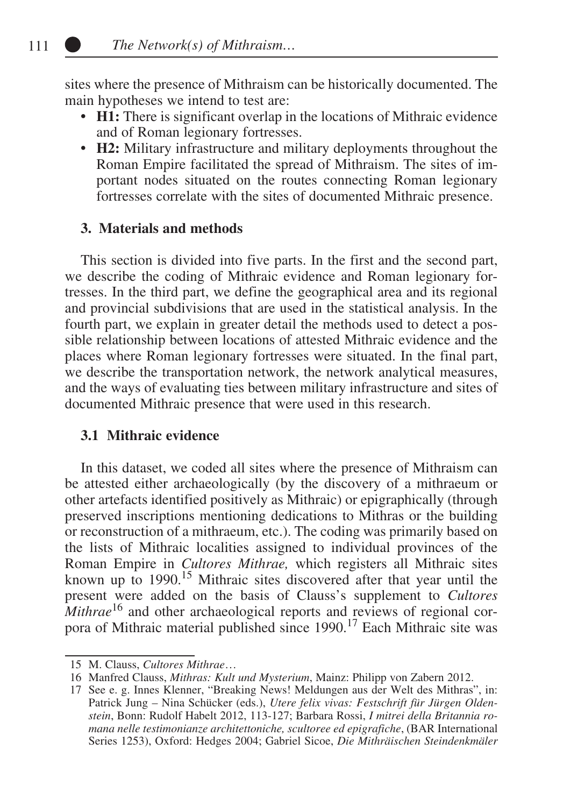sites where the presence of Mithraism can be historically documented. The main hypotheses we intend to test are:

- **H1:** There is significant overlap in the locations of Mithraic evidence and of Roman legionary fortresses.
- **H2:** Military infrastructure and military deployments throughout the Roman Empire facilitated the spread of Mithraism. The sites of important nodes situated on the routes connecting Roman legionary fortresses correlate with the sites of documented Mithraic presence.

## **3. Materials and methods**

This section is divided into five parts. In the first and the second part, we describe the coding of Mithraic evidence and Roman legionary fortresses. In the third part, we define the geographical area and its regional and provincial subdivisions that are used in the statistical analysis. In the fourth part, we explain in greater detail the methods used to detect a possible relationship between locations of attested Mithraic evidence and the places where Roman legionary fortresses were situated. In the final part, we describe the transportation network, the network analytical measures, and the ways of evaluating ties between military infrastructure and sites of documented Mithraic presence that were used in this research.

## **3.1 Mithraic evidence**

In this dataset, we coded all sites where the presence of Mithraism can be attested either archaeologically (by the discovery of a mithraeum or other artefacts identified positively as Mithraic) or epigraphically (through preserved inscriptions mentioning dedications to Mithras or the building or reconstruction of a mithraeum, etc.). The coding was primarily based on the lists of Mithraic localities assigned to individual provinces of the Roman Empire in *Cultores Mithrae,* which registers all Mithraic sites known up to 1990.15 Mithraic sites discovered after that year until the present were added on the basis of Clauss's supplement to *Cultores Mithrae*<sup>16</sup> and other archaeological reports and reviews of regional corpora of Mithraic material published since 1990.<sup>17</sup> Each Mithraic site was

<sup>15</sup> M. Clauss, *Cultores Mithrae*…

<sup>16</sup> Manfred Clauss, *Mithras: Kult und Mysterium*, Mainz: Philipp von Zabern 2012.

<sup>17</sup> See e. g. Innes Klenner, "Breaking News! Meldungen aus der Welt des Mithras", in: Patrick Jung – Nina Schücker (eds.), *Utere felix vivas: Festschrift für Jürgen Oldenstein*, Bonn: Rudolf Habelt 2012, 113-127; Barbara Rossi, *I mitrei della Britannia romana nelle testimonianze architettoniche, scultoree ed epigrafiche*, (BAR International Series 1253), Oxford: Hedges 2004; Gabriel Sicoe, *Die Mithräischen Steindenkmäler*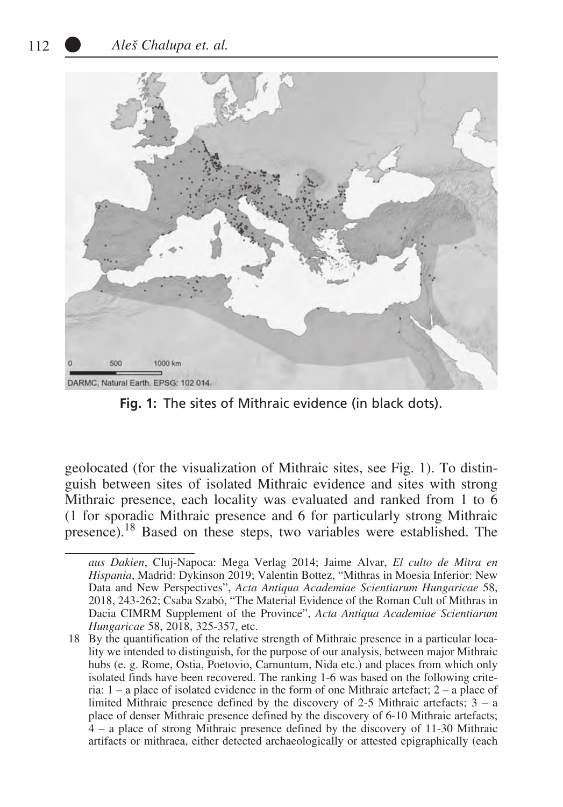

**Fig. 1:** The sites of Mithraic evidence (in black dots).

geolocated (for the visualization of Mithraic sites, see Fig. 1). To distinguish between sites of isolated Mithraic evidence and sites with strong Mithraic presence, each locality was evaluated and ranked from 1 to 6 (1 for sporadic Mithraic presence and 6 for particularly strong Mithraic presence).18 Based on these steps, two variables were established. The

*aus Dakien*, Cluj-Napoca: Mega Verlag 2014; Jaime Alvar, *El culto de Mitra en Hispania*, Madrid: Dykinson 2019; Valentin Bottez, "Mithras in Moesia Inferior: New Data and New Perspectives", *Acta Antiqua Academiae Scientiarum Hungaricae* 58, 2018, 243-262; Csaba Szabó, "The Material Evidence of the Roman Cult of Mithras in Dacia CIMRM Supplement of the Province", *Acta Antiqua Academiae Scientiarum Hungaricae* 58, 2018, 325-357, etc.

 <sup>18</sup> By the quantification of the relative strength of Mithraic presence in a particular locality we intended to distinguish, for the purpose of our analysis, between major Mithraic hubs (e. g. Rome, Ostia, Poetovio, Carnuntum, Nida etc.) and places from which only isolated finds have been recovered. The ranking 1-6 was based on the following criteria:  $1 - a$  place of isolated evidence in the form of one Mithraic artefact:  $2 - a$  place of limited Mithraic presence defined by the discovery of 2-5 Mithraic artefacts; 3 – a place of denser Mithraic presence defined by the discovery of 6-10 Mithraic artefacts; 4 – a place of strong Mithraic presence defined by the discovery of 11-30 Mithraic artifacts or mithraea, either detected archaeologically or attested epigraphically (each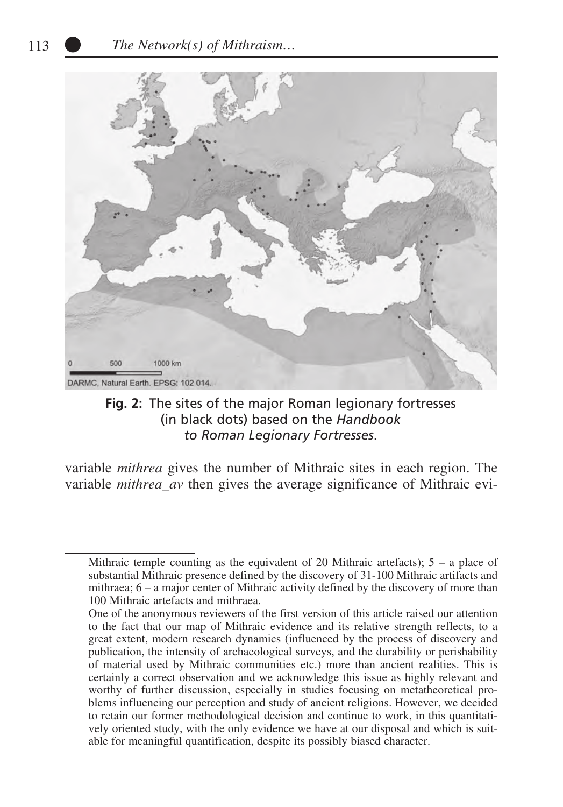

**Fig. 2:** The sites of the major Roman legionary fortresses (in black dots) based on the *Handbook to Roman Legionary Fortresses*.

variable *mithrea* gives the number of Mithraic sites in each region. The variable *mithrea\_av* then gives the average significance of Mithraic evi-

Mithraic temple counting as the equivalent of 20 Mithraic artefacts);  $5 - a$  place of substantial Mithraic presence defined by the discovery of 31-100 Mithraic artifacts and mithraea; 6 – a major center of Mithraic activity defined by the discovery of more than 100 Mithraic artefacts and mithraea.

One of the anonymous reviewers of the first version of this article raised our attention to the fact that our map of Mithraic evidence and its relative strength reflects, to a great extent, modern research dynamics (influenced by the process of discovery and publication, the intensity of archaeological surveys, and the durability or perishability of material used by Mithraic communities etc.) more than ancient realities. This is certainly a correct observation and we acknowledge this issue as highly relevant and worthy of further discussion, especially in studies focusing on metatheoretical problems influencing our perception and study of ancient religions. However, we decided to retain our former methodological decision and continue to work, in this quantitatively oriented study, with the only evidence we have at our disposal and which is suitable for meaningful quantification, despite its possibly biased character.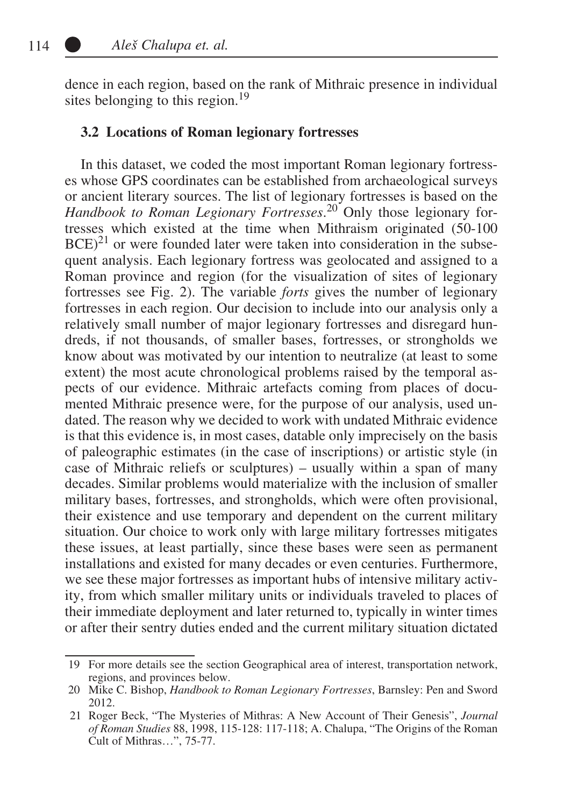dence in each region, based on the rank of Mithraic presence in individual sites belonging to this region.<sup>19</sup>

#### **3.2 Locations of Roman legionary fortresses**

In this dataset, we coded the most important Roman legionary fortresses whose GPS coordinates can be established from archaeological surveys or ancient literary sources. The list of legionary fortresses is based on the *Handbook to Roman Legionary Fortresses*. 20 Only those legionary fortresses which existed at the time when Mithraism originated (50-100  $BCE$ <sup>21</sup> or were founded later were taken into consideration in the subsequent analysis. Each legionary fortress was geolocated and assigned to a Roman province and region (for the visualization of sites of legionary fortresses see Fig. 2). The variable *forts* gives the number of legionary fortresses in each region. Our decision to include into our analysis only a relatively small number of major legionary fortresses and disregard hundreds, if not thousands, of smaller bases, fortresses, or strongholds we know about was motivated by our intention to neutralize (at least to some extent) the most acute chronological problems raised by the temporal aspects of our evidence. Mithraic artefacts coming from places of documented Mithraic presence were, for the purpose of our analysis, used undated. The reason why we decided to work with undated Mithraic evidence is that this evidence is, in most cases, datable only imprecisely on the basis of paleographic estimates (in the case of inscriptions) or artistic style (in case of Mithraic reliefs or sculptures) – usually within a span of many decades. Similar problems would materialize with the inclusion of smaller military bases, fortresses, and strongholds, which were often provisional, their existence and use temporary and dependent on the current military situation. Our choice to work only with large military fortresses mitigates these issues, at least partially, since these bases were seen as permanent installations and existed for many decades or even centuries. Furthermore, we see these major fortresses as important hubs of intensive military activity, from which smaller military units or individuals traveled to places of their immediate deployment and later returned to, typically in winter times or after their sentry duties ended and the current military situation dictated

 <sup>19</sup> For more details see the section Geographical area of interest, transportation network, regions, and provinces below.

 <sup>20</sup> Mike C. Bishop, *Handbook to Roman Legionary Fortresses*, Barnsley: Pen and Sword 2012.

<sup>21</sup> Roger Beck, "The Mysteries of Mithras: A New Account of Their Genesis", *Journal of Roman Studies* 88, 1998, 115-128: 117-118; A. Chalupa, "The Origins of the Roman Cult of Mithras…", 75-77.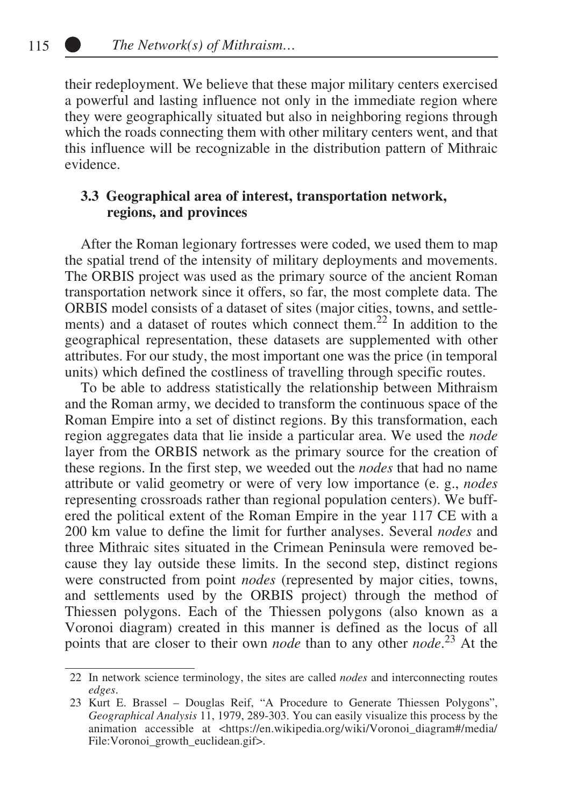their redeployment. We believe that these major military centers exercised a powerful and lasting influence not only in the immediate region where they were geographically situated but also in neighboring regions through which the roads connecting them with other military centers went, and that this influence will be recognizable in the distribution pattern of Mithraic evidence.

## **3.3 Geographical area of interest, transportation network, regions, and provinces**

After the Roman legionary fortresses were coded, we used them to map the spatial trend of the intensity of military deployments and movements. The ORBIS project was used as the primary source of the ancient Roman transportation network since it offers, so far, the most complete data. The ORBIS model consists of a dataset of sites (major cities, towns, and settlements) and a dataset of routes which connect them.<sup>22</sup> In addition to the geographical representation, these datasets are supplemented with other attributes. For our study, the most important one was the price (in temporal units) which defined the costliness of travelling through specific routes.

To be able to address statistically the relationship between Mithraism and the Roman army, we decided to transform the continuous space of the Roman Empire into a set of distinct regions. By this transformation, each region aggregates data that lie inside a particular area. We used the *node* layer from the ORBIS network as the primary source for the creation of these regions. In the first step, we weeded out the *nodes* that had no name attribute or valid geometry or were of very low importance (e. g., *nodes* representing crossroads rather than regional population centers). We buffered the political extent of the Roman Empire in the year 117 CE with a 200 km value to define the limit for further analyses. Several *nodes* and three Mithraic sites situated in the Crimean Peninsula were removed because they lay outside these limits. In the second step, distinct regions were constructed from point *nodes* (represented by major cities, towns, and settlements used by the ORBIS project) through the method of Thiessen polygons. Each of the Thiessen polygons (also known as a Voronoi diagram) created in this manner is defined as the locus of all points that are closer to their own *node* than to any other *node*. 23 At the

<sup>22</sup> In network science terminology, the sites are called *nodes* and interconnecting routes *edges*.

<sup>23</sup> Kurt E. Brassel – Douglas Reif, "A Procedure to Generate Thiessen Polygons", *Geographical Analysis* 11, 1979, 289-303. You can easily visualize this process by the animation accessible at <https://en.wikipedia.org/wiki/Voronoi\_diagram#/media/ File:Voronoi\_growth\_euclidean.gif>.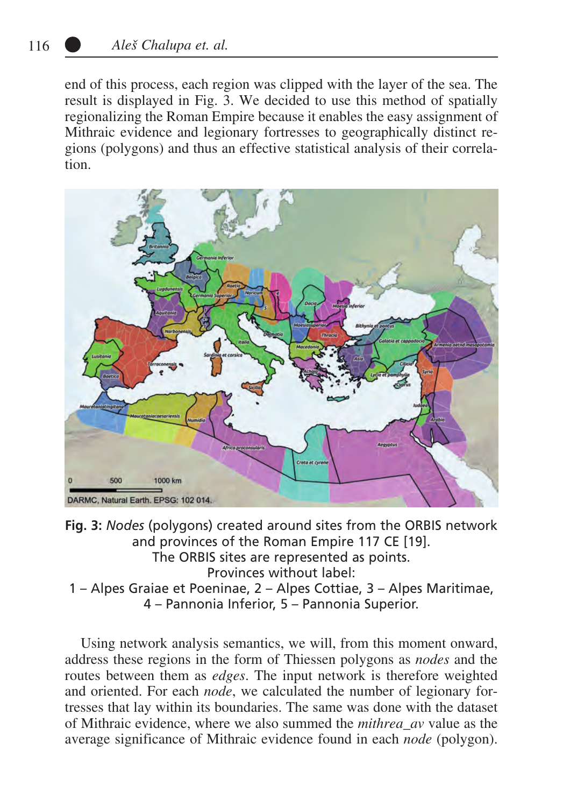end of this process, each region was clipped with the layer of the sea. The result is displayed in Fig. 3. We decided to use this method of spatially regionalizing the Roman Empire because it enables the easy assignment of Mithraic evidence and legionary fortresses to geographically distinct regions (polygons) and thus an effective statistical analysis of their correlation.



**Fig. 3:** *Nodes* (polygons) created around sites from the ORBIS network and provinces of the Roman Empire 117 CE [19]. The ORBIS sites are represented as points. Provinces without label: 1 – Alpes Graiae et Poeninae, 2 – Alpes Cottiae, 3 – Alpes Maritimae, 4 – Pannonia Inferior, 5 – Pannonia Superior.

Using network analysis semantics, we will, from this moment onward, address these regions in the form of Thiessen polygons as *nodes* and the routes between them as *edges*. The input network is therefore weighted and oriented. For each *node*, we calculated the number of legionary fortresses that lay within its boundaries. The same was done with the dataset of Mithraic evidence, where we also summed the *mithrea\_av* value as the average significance of Mithraic evidence found in each *node* (polygon).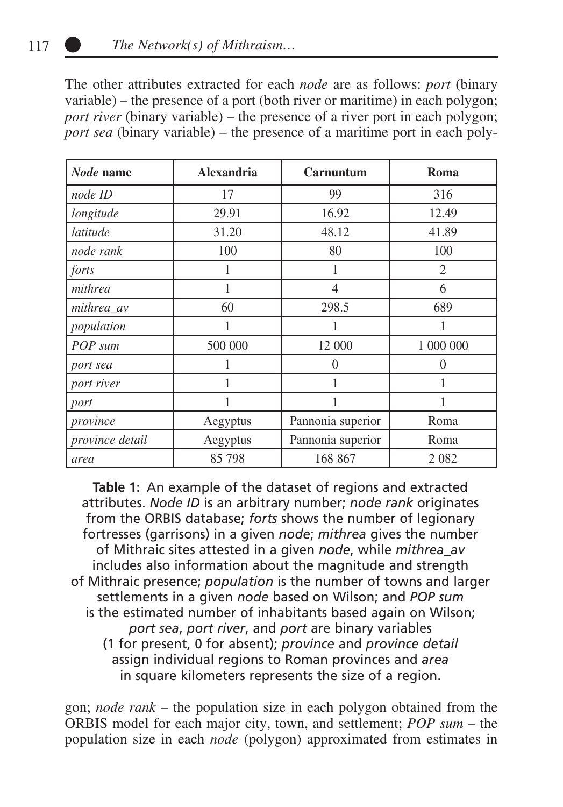The other attributes extracted for each *node* are as follows: *port* (binary variable) – the presence of a port (both river or maritime) in each polygon; *port river* (binary variable) – the presence of a river port in each polygon; *port sea* (binary variable) – the presence of a maritime port in each poly-

| Node name       | <b>Alexandria</b> | Carnuntum         | Roma      |
|-----------------|-------------------|-------------------|-----------|
| node ID         | 17                | 99                | 316       |
| longitude       | 29.91             | 16.92             | 12.49     |
| latitude        | 31.20             | 48.12             | 41.89     |
| node rank       | 100               | 80                | 100       |
| forts           |                   | 1                 | 2         |
| mithrea         |                   | $\overline{4}$    | 6         |
| mithrea_av      | 60                | 298.5             | 689       |
| population      |                   | 1                 | 1         |
| POP sum         | 500 000           | 12 000            | 1 000 000 |
| port sea        |                   | $\Omega$          | 0         |
| port river      | 1                 | 1                 | 1         |
| port            |                   |                   |           |
| province        | Aegyptus          | Pannonia superior | Roma      |
| province detail | Aegyptus          | Pannonia superior | Roma      |
| area            | 85 798            | 168 867           | 2 0 8 2   |

**Table 1:** An example of the dataset of regions and extracted attributes. *Node ID* is an arbitrary number; *node rank* originates from the ORBIS database; *forts* shows the number of legionary fortresses (garrisons) in a given *node*; *mithrea* gives the number of Mithraic sites attested in a given *node*, while *mithrea\_av* includes also information about the magnitude and strength of Mithraic presence; *population* is the number of towns and larger settlements in a given *node* based on Wilson; and *POP sum* is the estimated number of inhabitants based again on Wilson; *port sea*, *port river*, and *port* are binary variables (1 for present, 0 for absent); *province* and *province detail* assign individual regions to Roman provinces and *area* in square kilometers represents the size of a region.

gon; *node rank* – the population size in each polygon obtained from the ORBIS model for each major city, town, and settlement; *POP sum* – the population size in each *node* (polygon) approximated from estimates in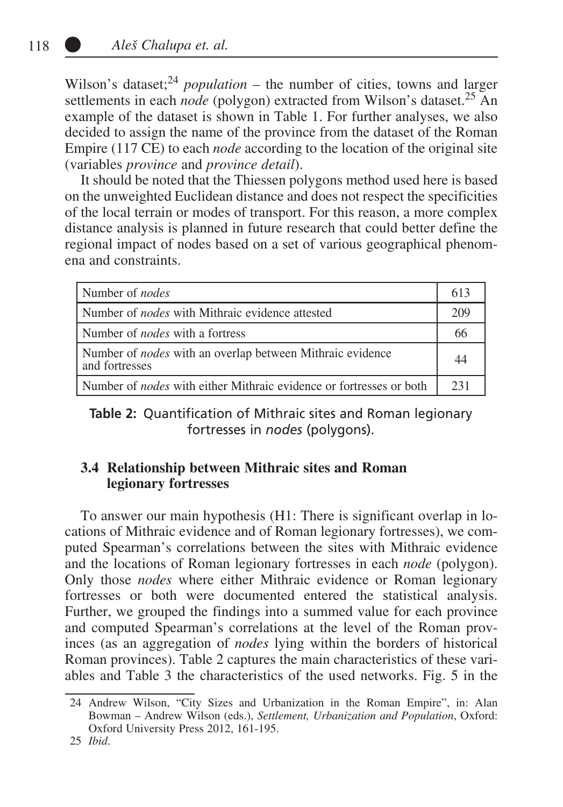Wilson's dataset;<sup>24</sup> *population* – the number of cities, towns and larger settlements in each *node* (polygon) extracted from Wilson's dataset.<sup>25</sup> An example of the dataset is shown in Table 1. For further analyses, we also decided to assign the name of the province from the dataset of the Roman Empire (117 CE) to each *node* according to the location of the original site (variables *province* and *province detail*).

It should be noted that the Thiessen polygons method used here is based on the unweighted Euclidean distance and does not respect the specificities of the local terrain or modes of transport. For this reason, a more complex distance analysis is planned in future research that could better define the regional impact of nodes based on a set of various geographical phenomena and constraints.

| Number of <i>nodes</i>                                                             | 613 |
|------------------------------------------------------------------------------------|-----|
| l Number of <i>nodes</i> with Mithraic evidence attested                           | 209 |
| Number of <i>nodes</i> with a fortress                                             | 66  |
| Number of <i>nodes</i> with an overlap between Mithraic evidence<br>and fortresses |     |
| Number of <i>nodes</i> with either Mithraic evidence or fortresses or both         | 231 |

**Table 2:** Quantification of Mithraic sites and Roman legionary fortresses in *nodes* (polygons).

## **3.4 Relationship between Mithraic sites and Roman legionary fortresses**

To answer our main hypothesis (H1: There is significant overlap in locations of Mithraic evidence and of Roman legionary fortresses), we computed Spearman's correlations between the sites with Mithraic evidence and the locations of Roman legionary fortresses in each *node* (polygon). Only those *nodes* where either Mithraic evidence or Roman legionary fortresses or both were documented entered the statistical analysis. Further, we grouped the findings into a summed value for each province and computed Spearman's correlations at the level of the Roman provinces (as an aggregation of *nodes* lying within the borders of historical Roman provinces). Table 2 captures the main characteristics of these variables and Table 3 the characteristics of the used networks. Fig. 5 in the

25 *Ibid*.

<sup>24</sup> Andrew Wilson, "City Sizes and Urbanization in the Roman Empire", in: Alan Bowman – Andrew Wilson (eds.), *Settlement, Urbanization and Population*, Oxford: Oxford University Press 2012, 161-195.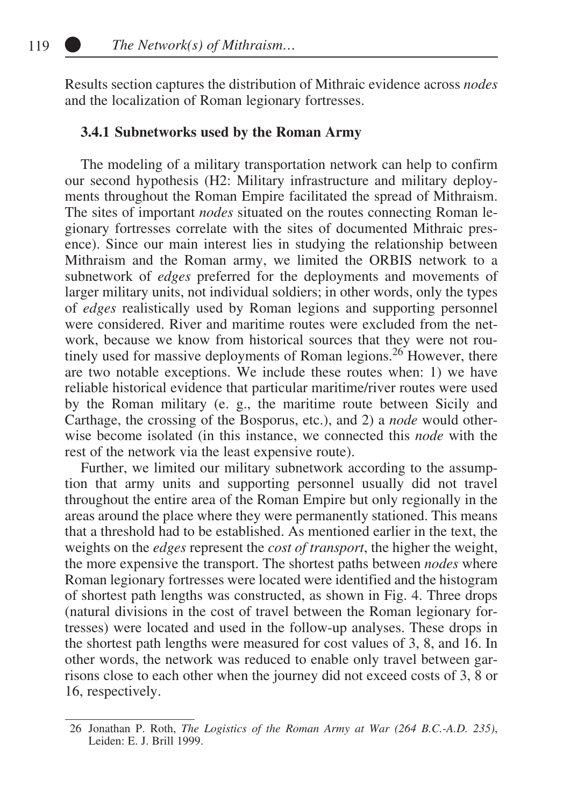Results section captures the distribution of Mithraic evidence across *nodes* and the localization of Roman legionary fortresses.

### **3.4.1 Subnetworks used by the Roman Army**

The modeling of a military transportation network can help to confirm our second hypothesis (H2: Military infrastructure and military deployments throughout the Roman Empire facilitated the spread of Mithraism. The sites of important *nodes* situated on the routes connecting Roman legionary fortresses correlate with the sites of documented Mithraic presence). Since our main interest lies in studying the relationship between Mithraism and the Roman army, we limited the ORBIS network to a subnetwork of *edges* preferred for the deployments and movements of larger military units, not individual soldiers; in other words, only the types of *edges* realistically used by Roman legions and supporting personnel were considered. River and maritime routes were excluded from the network, because we know from historical sources that they were not routinely used for massive deployments of Roman legions.<sup>26</sup> However, there are two notable exceptions. We include these routes when: 1) we have reliable historical evidence that particular maritime/river routes were used by the Roman military (e. g., the maritime route between Sicily and Carthage, the crossing of the Bosporus, etc.), and 2) a *node* would otherwise become isolated (in this instance, we connected this *node* with the rest of the network via the least expensive route).

Further, we limited our military subnetwork according to the assumption that army units and supporting personnel usually did not travel throughout the entire area of the Roman Empire but only regionally in the areas around the place where they were permanently stationed. This means that a threshold had to be established. As mentioned earlier in the text, the weights on the *edges* represent the *cost of transport*, the higher the weight, the more expensive the transport. The shortest paths between *nodes* where Roman legionary fortresses were located were identified and the histogram of shortest path lengths was constructed, as shown in Fig. 4. Three drops (natural divisions in the cost of travel between the Roman legionary fortresses) were located and used in the follow-up analyses. These drops in the shortest path lengths were measured for cost values of 3, 8, and 16. In other words, the network was reduced to enable only travel between garrisons close to each other when the journey did not exceed costs of 3, 8 or 16, respectively.

<sup>26</sup> Jonathan P. Roth, *The Logistics of the Roman Army at War (264 B.C.-A.D. 235)*, Leiden: E. J. Brill 1999.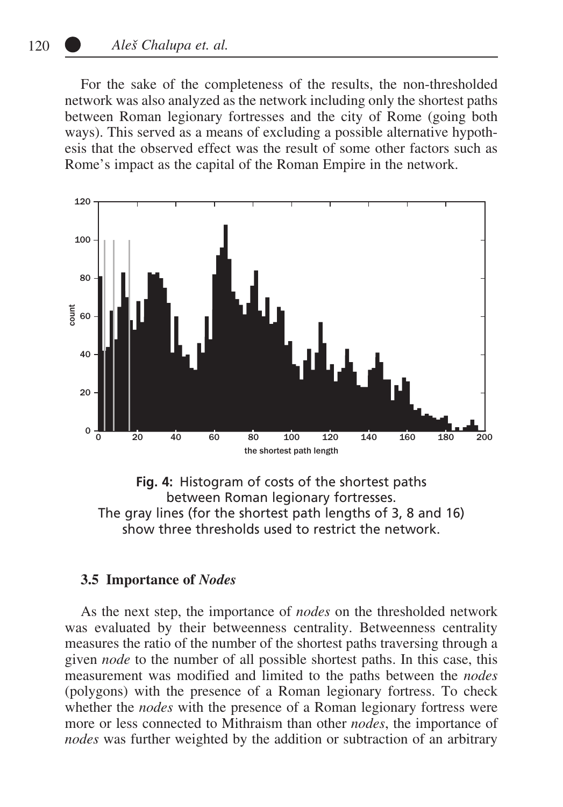For the sake of the completeness of the results, the non-thresholded network was also analyzed as the network including only the shortest paths between Roman legionary fortresses and the city of Rome (going both ways). This served as a means of excluding a possible alternative hypothesis that the observed effect was the result of some other factors such as Rome's impact as the capital of the Roman Empire in the network.



**Fig. 4:** Histogram of costs of the shortest paths between Roman legionary fortresses. The gray lines (for the shortest path lengths of 3, 8 and 16) show three thresholds used to restrict the network.

#### **3.5 Importance of** *Nodes*

As the next step, the importance of *nodes* on the thresholded network was evaluated by their betweenness centrality. Betweenness centrality measures the ratio of the number of the shortest paths traversing through a given *node* to the number of all possible shortest paths. In this case, this measurement was modified and limited to the paths between the *nodes* (polygons) with the presence of a Roman legionary fortress. To check whether the *nodes* with the presence of a Roman legionary fortress were more or less connected to Mithraism than other *nodes*, the importance of *nodes* was further weighted by the addition or subtraction of an arbitrary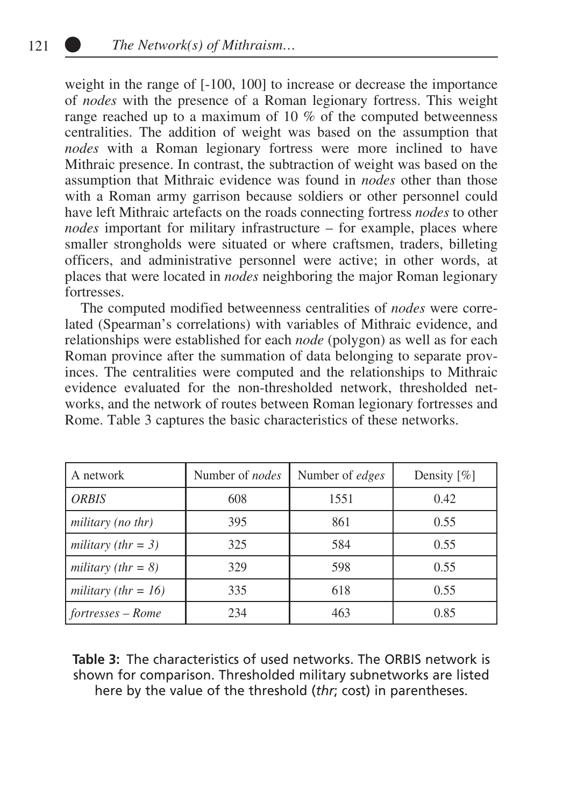weight in the range of [-100, 100] to increase or decrease the importance of *nodes* with the presence of a Roman legionary fortress. This weight range reached up to a maximum of 10 % of the computed betweenness centralities. The addition of weight was based on the assumption that *nodes* with a Roman legionary fortress were more inclined to have Mithraic presence. In contrast, the subtraction of weight was based on the assumption that Mithraic evidence was found in *nodes* other than those with a Roman army garrison because soldiers or other personnel could have left Mithraic artefacts on the roads connecting fortress *nodes* to other *nodes* important for military infrastructure – for example, places where smaller strongholds were situated or where craftsmen, traders, billeting officers, and administrative personnel were active; in other words, at places that were located in *nodes* neighboring the major Roman legionary fortresses.

The computed modified betweenness centralities of *nodes* were correlated (Spearman's correlations) with variables of Mithraic evidence, and relationships were established for each *node* (polygon) as well as for each Roman province after the summation of data belonging to separate provinces. The centralities were computed and the relationships to Mithraic evidence evaluated for the non-thresholded network, thresholded networks, and the network of routes between Roman legionary fortresses and Rome. Table 3 captures the basic characteristics of these networks.

| A network                 | Number of <i>nodes</i> | Number of <i>edges</i> | Density $[\%]$ |
|---------------------------|------------------------|------------------------|----------------|
| <b>ORBIS</b>              | 608                    | 1551                   | 0.42           |
| military (no thr)         | 395                    | 861                    | 0.55           |
| military (thr = $3$ )     | 325                    | 584                    | 0.55           |
| military (thr = $8$ )     | 329                    | 598                    | 0.55           |
| military (thr = $16$ )    | 335                    | 618                    | 0.55           |
| $\vert$ fortresses – Rome | 234                    | 463                    | 0.85           |

**Table 3:** The characteristics of used networks. The ORBIS network is shown for comparison. Thresholded military subnetworks are listed here by the value of the threshold (*thr*; cost) in parentheses.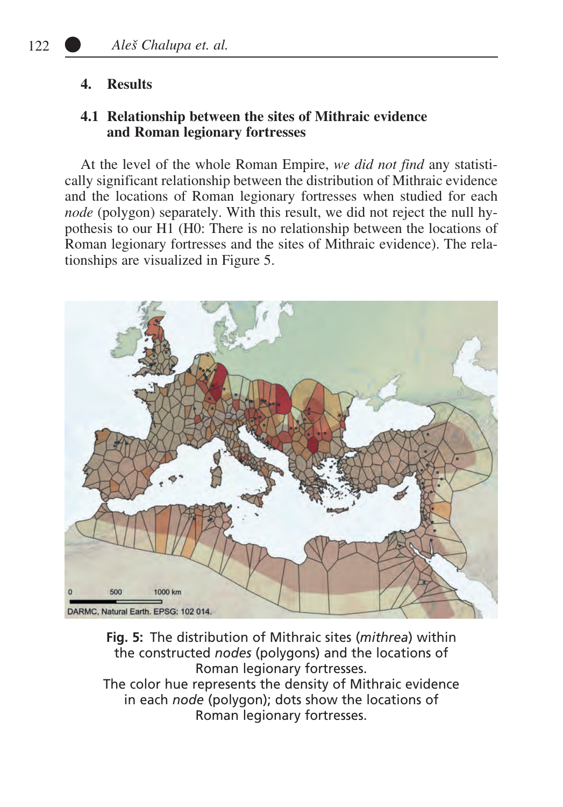## **4. Results**

## **4.1 Relationship between the sites of Mithraic evidence and Roman legionary fortresses**

At the level of the whole Roman Empire, *we did not find* any statistically significant relationship between the distribution of Mithraic evidence and the locations of Roman legionary fortresses when studied for each *node* (polygon) separately. With this result, we did not reject the null hypothesis to our H1 (H0: There is no relationship between the locations of Roman legionary fortresses and the sites of Mithraic evidence). The relationships are visualized in Figure 5.



**Fig. 5:** The distribution of Mithraic sites (*mithrea*) within the constructed *nodes* (polygons) and the locations of Roman legionary fortresses. The color hue represents the density of Mithraic evidence in each *node* (polygon); dots show the locations of Roman legionary fortresses.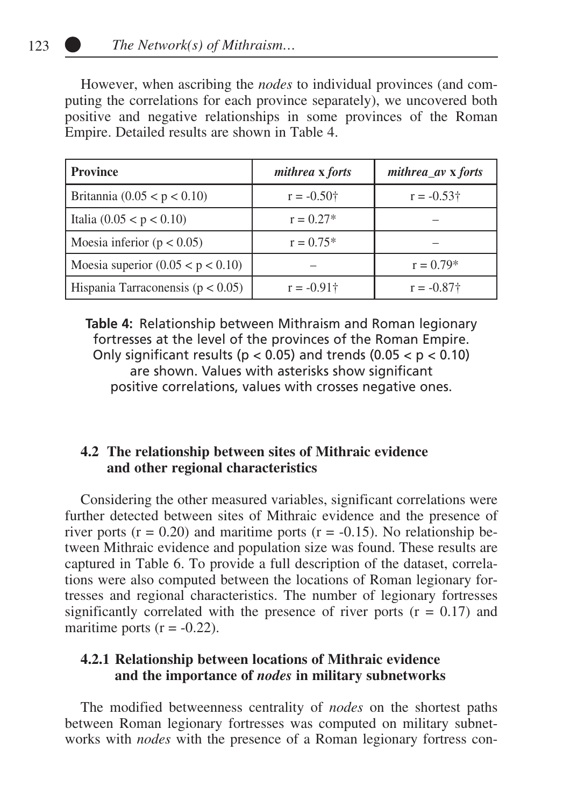However, when ascribing the *nodes* to individual provinces (and computing the correlations for each province separately), we uncovered both positive and negative relationships in some provinces of the Roman Empire. Detailed results are shown in Table 4.

| <b>Province</b>                       | <i>mithrea</i> x <i>forts</i> | $mithrea_av$ x forts |  |
|---------------------------------------|-------------------------------|----------------------|--|
| Britannia $(0.05 < p < 0.10)$         | $r = -0.50$ †                 | $r = -0.53\dagger$   |  |
| Italia $(0.05 < p < 0.10)$            | $r = 0.27*$                   |                      |  |
| Moesia inferior ( $p < 0.05$ )        | $r = 0.75*$                   |                      |  |
| Moesia superior $(0.05 < p < 0.10)$   |                               | $r = 0.79*$          |  |
| Hispania Tarraconensis ( $p < 0.05$ ) | $r = -0.91$ †                 | $r = -0.87$ †        |  |

**Table 4:** Relationship between Mithraism and Roman legionary fortresses at the level of the provinces of the Roman Empire. Only significant results ( $p < 0.05$ ) and trends ( $0.05 < p < 0.10$ ) are shown. Values with asterisks show significant positive correlations, values with crosses negative ones.

# **4.2 The relationship between sites of Mithraic evidence and other regional characteristics**

Considering the other measured variables, significant correlations were further detected between sites of Mithraic evidence and the presence of river ports ( $r = 0.20$ ) and maritime ports ( $r = -0.15$ ). No relationship between Mithraic evidence and population size was found. These results are captured in Table 6. To provide a full description of the dataset, correlations were also computed between the locations of Roman legionary fortresses and regional characteristics. The number of legionary fortresses significantly correlated with the presence of river ports  $(r = 0.17)$  and maritime ports  $(r = -0.22)$ .

## **4.2.1 Relationship between locations of Mithraic evidence and the importance of** *nodes* **in military subnetworks**

The modified betweenness centrality of *nodes* on the shortest paths between Roman legionary fortresses was computed on military subnetworks with *nodes* with the presence of a Roman legionary fortress con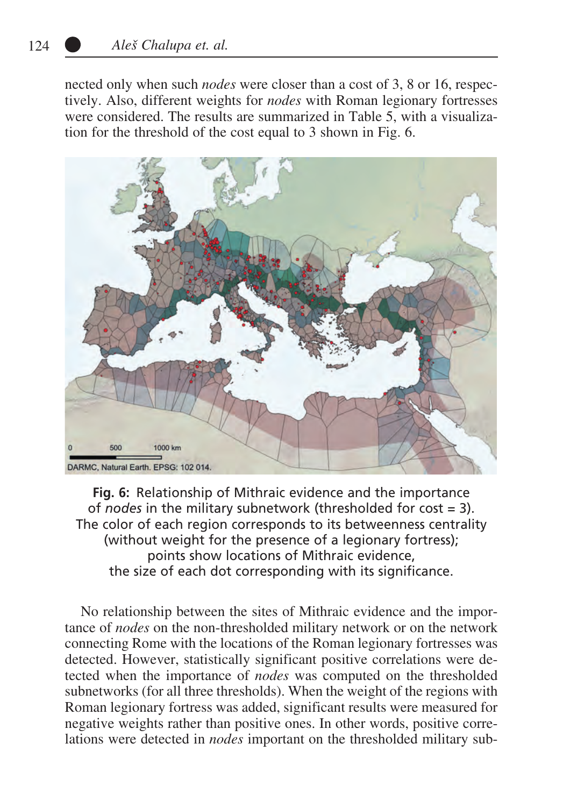nected only when such *nodes* were closer than a cost of 3, 8 or 16, respectively. Also, different weights for *nodes* with Roman legionary fortresses were considered. The results are summarized in Table 5, with a visualization for the threshold of the cost equal to 3 shown in Fig. 6.



**Fig. 6:** Relationship of Mithraic evidence and the importance of *nodes* in the military subnetwork (thresholded for cost = 3). The color of each region corresponds to its betweenness centrality (without weight for the presence of a legionary fortress); points show locations of Mithraic evidence, the size of each dot corresponding with its significance.

No relationship between the sites of Mithraic evidence and the importance of *nodes* on the non-thresholded military network or on the network connecting Rome with the locations of the Roman legionary fortresses was detected. However, statistically significant positive correlations were detected when the importance of *nodes* was computed on the thresholded subnetworks (for all three thresholds). When the weight of the regions with Roman legionary fortress was added, significant results were measured for negative weights rather than positive ones. In other words, positive correlations were detected in *nodes* important on the thresholded military sub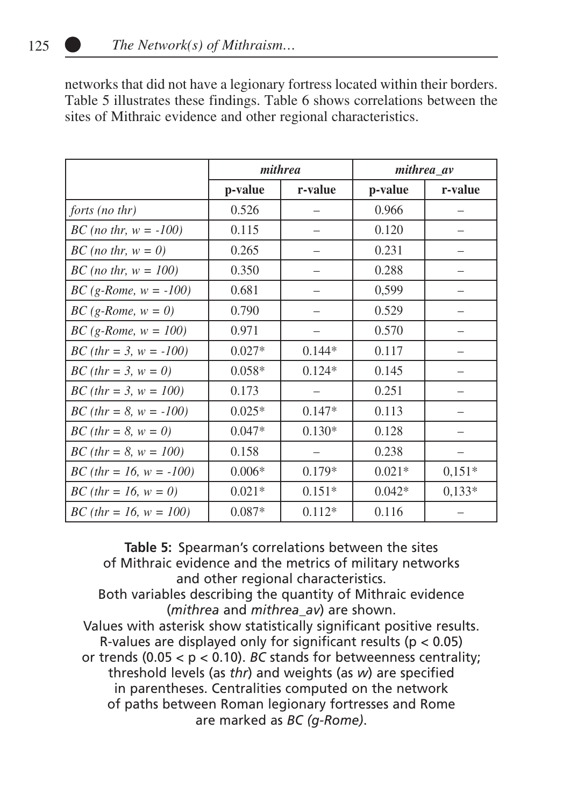networks that did not have a legionary fortress located within their borders. Table 5 illustrates these findings. Table 6 shows correlations between the sites of Mithraic evidence and other regional characteristics.

|                                          | mithrea  |          | mithrea_av |          |
|------------------------------------------|----------|----------|------------|----------|
|                                          | p-value  | r-value  | p-value    | r-value  |
| forts (no thr)                           | 0.526    |          | 0.966      |          |
| <i>BC</i> ( <i>no thr</i> , $w = -100$ ) | 0.115    |          | 0.120      |          |
| $BC$ (no thr, $w = 0$ )                  | 0.265    |          | 0.231      |          |
| <i>BC</i> ( <i>no thr</i> , $w = 100$ )  | 0.350    |          | 0.288      |          |
| $BC (g-Rome, w = -100)$                  | 0.681    |          | 0,599      |          |
| $BC(g-Rome, w = 0)$                      | 0.790    |          | 0.529      |          |
| $BC (g-Rome, w = 100)$                   | 0.971    |          | 0.570      |          |
| $BC (thr = 3, w = -100)$                 | $0.027*$ | $0.144*$ | 0.117      |          |
| <i>BC</i> ( <i>thr</i> = 3, $w = 0$ )    | $0.058*$ | $0.124*$ | 0.145      |          |
| $BC$ (thr = 3, w = 100)                  | 0.173    |          | 0.251      |          |
| $BC (thr = 8, w = -100)$                 | $0.025*$ | $0.147*$ | 0.113      |          |
| <i>BC</i> ( <i>thr</i> = 8, $w = 0$ )    | $0.047*$ | $0.130*$ | 0.128      |          |
| $BC$ (thr = 8, w = 100)                  | 0.158    |          | 0.238      |          |
| $BC (thr = 16, w = -100)$                | $0.006*$ | $0.179*$ | $0.021*$   | $0.151*$ |
| $BC$ (thr = 16, w = 0)                   | $0.021*$ | $0.151*$ | $0.042*$   | $0.133*$ |
| $BC$ (thr = 16, w = 100)                 | $0.087*$ | $0.112*$ | 0.116      |          |

**Table 5:** Spearman's correlations between the sites of Mithraic evidence and the metrics of military networks and other regional characteristics. Both variables describing the quantity of Mithraic evidence (*mithrea* and *mithrea\_av*) are shown. Values with asterisk show statistically significant positive results. R-values are displayed only for significant results ( $p < 0.05$ ) or trends  $(0.05 < p < 0.10)$ . *BC* stands for betweenness centrality; threshold levels (as *thr*) and weights (as *w*) are specified in parentheses. Centralities computed on the network of paths between Roman legionary fortresses and Rome are marked as *BC (g-Rome)*.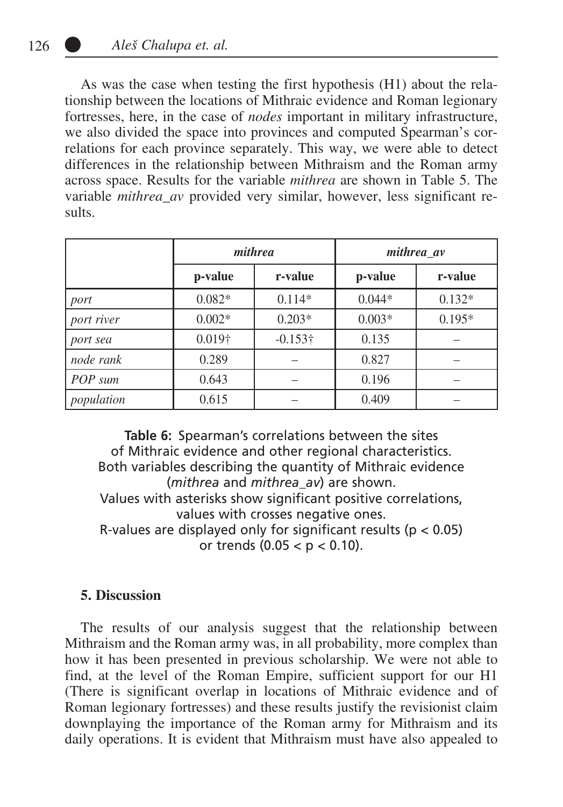As was the case when testing the first hypothesis (H1) about the relationship between the locations of Mithraic evidence and Roman legionary fortresses, here, in the case of *nodes* important in military infrastructure, we also divided the space into provinces and computed Spearman's correlations for each province separately. This way, we were able to detect differences in the relationship between Mithraism and the Roman army across space. Results for the variable *mithrea* are shown in Table 5. The variable *mithrea\_av* provided very similar, however, less significant results.

|            | mithrea        |                 | mithrea av |          |
|------------|----------------|-----------------|------------|----------|
|            | p-value        | r-value         | p-value    | r-value  |
| port       | $0.082*$       | $0.114*$        | $0.044*$   | $0.132*$ |
| port river | $0.002*$       | $0.203*$        | $0.003*$   | $0.195*$ |
| port sea   | $0.019\dagger$ | $-0.153\dagger$ | 0.135      |          |
| node rank  | 0.289          |                 | 0.827      |          |
| POP sum    | 0.643          |                 | 0.196      |          |
| population | 0.615          |                 | 0.409      |          |

**Table 6:** Spearman's correlations between the sites of Mithraic evidence and other regional characteristics. Both variables describing the quantity of Mithraic evidence (*mithrea* and *mithrea\_av*) are shown. Values with asterisks show significant positive correlations, values with crosses negative ones. R-values are displayed only for significant results ( $p < 0.05$ ) or trends (0.05 < p < 0.10).

#### **5. Discussion**

The results of our analysis suggest that the relationship between Mithraism and the Roman army was, in all probability, more complex than how it has been presented in previous scholarship. We were not able to find, at the level of the Roman Empire, sufficient support for our H1 (There is significant overlap in locations of Mithraic evidence and of Roman legionary fortresses) and these results justify the revisionist claim downplaying the importance of the Roman army for Mithraism and its daily operations. It is evident that Mithraism must have also appealed to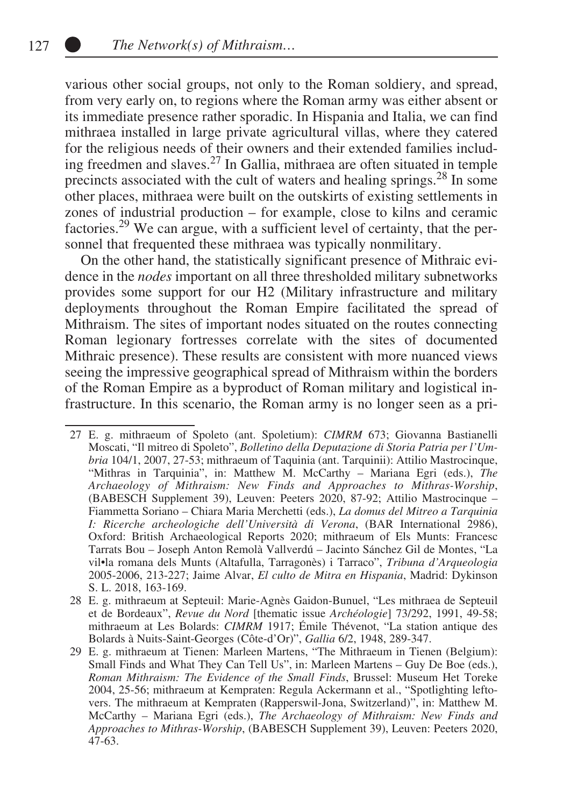various other social groups, not only to the Roman soldiery, and spread, from very early on, to regions where the Roman army was either absent or its immediate presence rather sporadic. In Hispania and Italia, we can find mithraea installed in large private agricultural villas, where they catered for the religious needs of their owners and their extended families including freedmen and slaves.27 In Gallia, mithraea are often situated in temple precincts associated with the cult of waters and healing springs.28 In some other places, mithraea were built on the outskirts of existing settlements in zones of industrial production – for example, close to kilns and ceramic factories.29 We can argue, with a sufficient level of certainty, that the personnel that frequented these mithraea was typically nonmilitary.

On the other hand, the statistically significant presence of Mithraic evidence in the *nodes* important on all three thresholded military subnetworks provides some support for our H2 (Military infrastructure and military deployments throughout the Roman Empire facilitated the spread of Mithraism. The sites of important nodes situated on the routes connecting Roman legionary fortresses correlate with the sites of documented Mithraic presence). These results are consistent with more nuanced views seeing the impressive geographical spread of Mithraism within the borders of the Roman Empire as a byproduct of Roman military and logistical infrastructure. In this scenario, the Roman army is no longer seen as a pri-

<sup>27</sup> E. g. mithraeum of Spoleto (ant. Spoletium): *CIMRM* 673; Giovanna Bastianelli Moscati, "Il mitreo di Spoleto", *Bolletino della Deputazione di Storia Patria per l'Umbria* 104/1, 2007, 27-53; mithraeum of Taquinia (ant. Tarquinii): Attilio Mastrocinque, "Mithras in Tarquinia", in: Matthew M. McCarthy – Mariana Egri (eds.), *The Archaeology of Mithraism: New Finds and Approaches to Mithras-Worship*, (BABESCH Supplement 39), Leuven: Peeters 2020, 87-92; Attilio Mastrocinque – Fiammetta Soriano – Chiara Maria Merchetti (eds.), *La domus del Mitreo a Tarquinia I: Ricerche archeologiche dell'Università di Verona*, (BAR International 2986), Oxford: British Archaeological Reports 2020; mithraeum of Els Munts: Francesc Tarrats Bou – Joseph Anton Remolà Vallverdú – Jacinto Sánchez Gil de Montes, "La vil•la romana dels Munts (Altafulla, Tarragonès) i Tarraco", *Tribuna d'Arqueologia* 2005-2006, 213-227; Jaime Alvar, *El culto de Mitra en Hispania*, Madrid: Dykinson S. L. 2018, 163-169.

<sup>28</sup> E. g. mithraeum at Septeuil: Marie-Agnès Gaidon-Bunuel, "Les mithraea de Septeuil et de Bordeaux", *Revue du Nord* [thematic issue *Archéologie*] 73/292, 1991, 49-58; mithraeum at Les Bolards: *CIMRM* 1917; Émile Thévenot, "La station antique des Bolards à Nuits-Saint-Georges (Côte-d'Or)", *Gallia* 6/2, 1948, 289-347.

<sup>29</sup> E. g. mithraeum at Tienen: Marleen Martens, "The Mithraeum in Tienen (Belgium): Small Finds and What They Can Tell Us", in: Marleen Martens – Guy De Boe (eds.), *Roman Mithraism: The Evidence of the Small Finds*, Brussel: Museum Het Toreke 2004, 25-56; mithraeum at Kempraten: Regula Ackermann et al., "Spotlighting leftovers. The mithraeum at Kempraten (Rapperswil-Jona, Switzerland)", in: Matthew M. McCarthy – Mariana Egri (eds.), *The Archaeology of Mithraism: New Finds and Approaches to Mithras-Worship*, (BABESCH Supplement 39), Leuven: Peeters 2020, 47-63.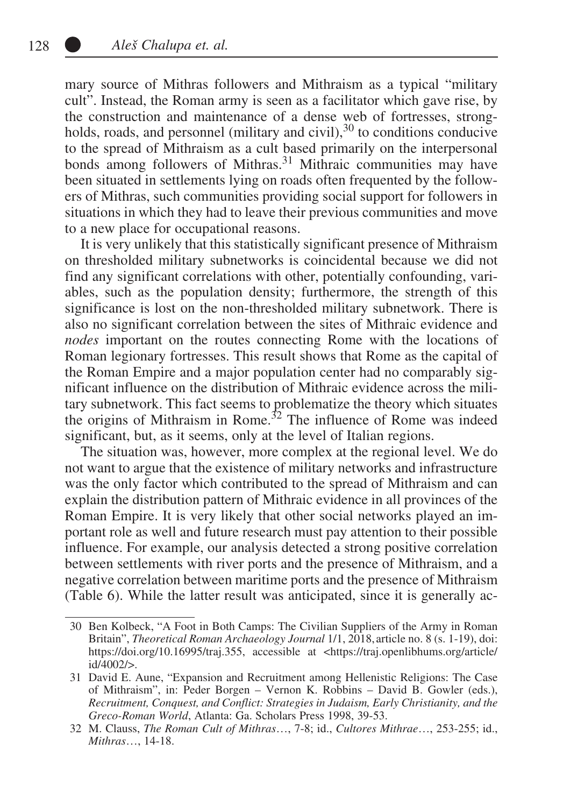mary source of Mithras followers and Mithraism as a typical "military cult". Instead, the Roman army is seen as a facilitator which gave rise, by the construction and maintenance of a dense web of fortresses, strongholds, roads, and personnel (military and civil), $30$  to conditions conducive to the spread of Mithraism as a cult based primarily on the interpersonal bonds among followers of Mithras.<sup>31</sup> Mithraic communities may have been situated in settlements lying on roads often frequented by the followers of Mithras, such communities providing social support for followers in situations in which they had to leave their previous communities and move to a new place for occupational reasons.

It is very unlikely that this statistically significant presence of Mithraism on thresholded military subnetworks is coincidental because we did not find any significant correlations with other, potentially confounding, variables, such as the population density; furthermore, the strength of this significance is lost on the non-thresholded military subnetwork. There is also no significant correlation between the sites of Mithraic evidence and *nodes* important on the routes connecting Rome with the locations of Roman legionary fortresses. This result shows that Rome as the capital of the Roman Empire and a major population center had no comparably significant influence on the distribution of Mithraic evidence across the military subnetwork. This fact seems to problematize the theory which situates the origins of Mithraism in Rome.<sup>32</sup> The influence of Rome was indeed significant, but, as it seems, only at the level of Italian regions.

The situation was, however, more complex at the regional level. We do not want to argue that the existence of military networks and infrastructure was the only factor which contributed to the spread of Mithraism and can explain the distribution pattern of Mithraic evidence in all provinces of the Roman Empire. It is very likely that other social networks played an important role as well and future research must pay attention to their possible influence. For example, our analysis detected a strong positive correlation between settlements with river ports and the presence of Mithraism, and a negative correlation between maritime ports and the presence of Mithraism (Table 6). While the latter result was anticipated, since it is generally ac-

<sup>30</sup> Ben Kolbeck, "A Foot in Both Camps: The Civilian Suppliers of the Army in Roman Britain", *Theoretical Roman Archaeology Journal* 1/1, 2018, article no. 8 (s. 1-19), doi: https://doi.org/10.16995/traj.355, accessible at <https://traj.openlibhums.org/article/ id/4002/>.

<sup>31</sup> David E. Aune, "Expansion and Recruitment among Hellenistic Religions: The Case of Mithraism", in: Peder Borgen – Vernon K. Robbins – David B. Gowler (eds.), *Recruitment, Conquest, and Conflict: Strategies in Judaism, Early Christianity, and the Greco-Roman World*, Atlanta: Ga. Scholars Press 1998, 39-53.

<sup>32</sup> M. Clauss, *The Roman Cult of Mithras*…, 7-8; id., *Cultores Mithrae*…, 253-255; id., *Mithras*…, 14-18.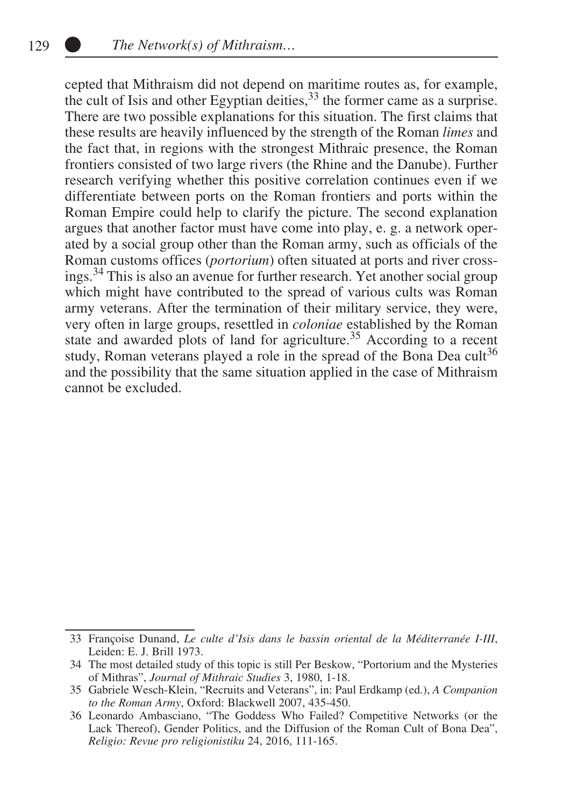cepted that Mithraism did not depend on maritime routes as, for example, the cult of Isis and other Egyptian deities,  $33$  the former came as a surprise. There are two possible explanations for this situation. The first claims that these results are heavily influenced by the strength of the Roman *limes* and the fact that, in regions with the strongest Mithraic presence, the Roman frontiers consisted of two large rivers (the Rhine and the Danube). Further research verifying whether this positive correlation continues even if we differentiate between ports on the Roman frontiers and ports within the Roman Empire could help to clarify the picture. The second explanation argues that another factor must have come into play, e. g. a network operated by a social group other than the Roman army, such as officials of the Roman customs offices (*portorium*) often situated at ports and river crossings.<sup>34</sup> This is also an avenue for further research. Yet another social group which might have contributed to the spread of various cults was Roman army veterans. After the termination of their military service, they were, very often in large groups, resettled in *coloniae* established by the Roman state and awarded plots of land for agriculture.<sup>35</sup> According to a recent study, Roman veterans played a role in the spread of the Bona Dea cult<sup>36</sup> and the possibility that the same situation applied in the case of Mithraism cannot be excluded.

<sup>33</sup> Françoise Dunand, *Le culte d'Isis dans le bassin oriental de la Méditerranée I-III*, Leiden: E. J. Brill 1973.

<sup>34</sup> The most detailed study of this topic is still Per Beskow, "Portorium and the Mysteries of Mithras", *Journal of Mithraic Studies* 3, 1980, 1-18.

<sup>35</sup> Gabriele Wesch-Klein, "Recruits and Veterans", in: Paul Erdkamp (ed.), *A Companion to the Roman Army*, Oxford: Blackwell 2007, 435-450.

<sup>36</sup> Leonardo Ambasciano, "The Goddess Who Failed? Competitive Networks (or the Lack Thereof), Gender Politics, and the Diffusion of the Roman Cult of Bona Dea", *Religio: Revue pro religionistiku* 24, 2016, 111-165.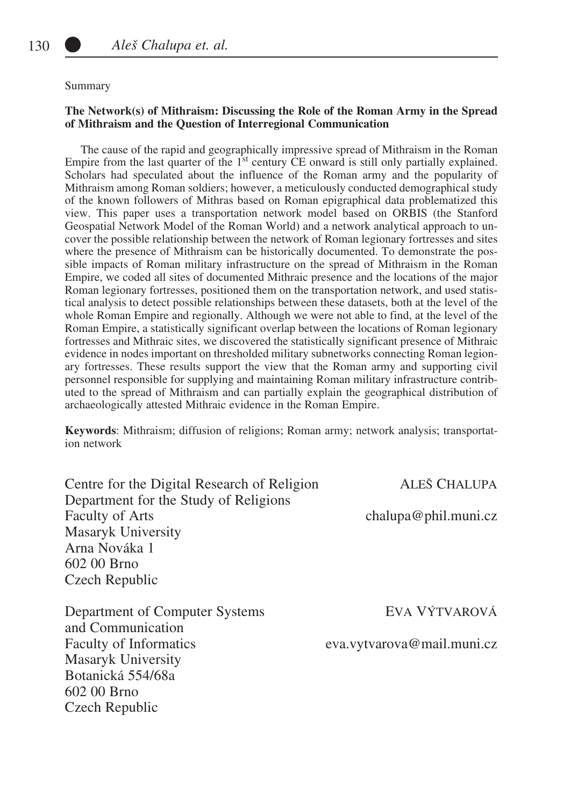#### Summary

#### **The Network(s) of Mithraism: Discussing the Role of the Roman Army in the Spread of Mithraism and the Question of Interregional Communication**

The cause of the rapid and geographically impressive spread of Mithraism in the Roman Empire from the last quarter of the  $1<sup>st</sup>$  century  $\overline{CE}$  onward is still only partially explained. Scholars had speculated about the influence of the Roman army and the popularity of Mithraism among Roman soldiers; however, a meticulously conducted demographical study of the known followers of Mithras based on Roman epigraphical data problematized this view. This paper uses a transportation network model based on ORBIS (the Stanford Geospatial Network Model of the Roman World) and a network analytical approach to uncover the possible relationship between the network of Roman legionary fortresses and sites where the presence of Mithraism can be historically documented. To demonstrate the possible impacts of Roman military infrastructure on the spread of Mithraism in the Roman Empire, we coded all sites of documented Mithraic presence and the locations of the major Roman legionary fortresses, positioned them on the transportation network, and used statistical analysis to detect possible relationships between these datasets, both at the level of the whole Roman Empire and regionally. Although we were not able to find, at the level of the Roman Empire, a statistically significant overlap between the locations of Roman legionary fortresses and Mithraic sites, we discovered the statistically significant presence of Mithraic evidence in nodes important on thresholded military subnetworks connecting Roman legionary fortresses. These results support the view that the Roman army and supporting civil personnel responsible for supplying and maintaining Roman military infrastructure contributed to the spread of Mithraism and can partially explain the geographical distribution of archaeologically attested Mithraic evidence in the Roman Empire.

**Keywords**: Mithraism; diffusion of religions; Roman army; network analysis; transportation network

Centre for the Digital Research of Religion ALEŠ CHALUPA Department for the Study of Religions Faculty of Arts chalupa@phil.muni.cz Masaryk University Arna Nováka 1 602 00 Brno Czech Republic

Department of Computer Systems EVA VÝTVAROVÁ and Communication Faculty of Informatics eva.vytvarova@mail.muni.cz Masaryk University Botanická 554/68a 602 00 Brno Czech Republic